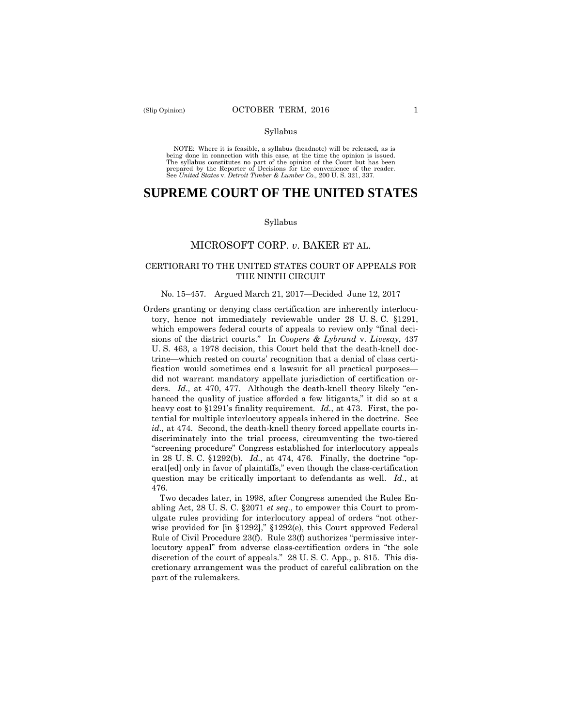NOTE: Where it is feasible, a syllabus (headnote) will be released, as is being done in connection with this case, at the time the opinion is issued. The syllabus constitutes no part of the opinion of the Court but has been<br>prepared by the Reporter of Decisions for the convenience of the reader.<br>See United States v. Detroit Timber & Lumber Co., 200 U.S. 321, 337.

# **SUPREME COURT OF THE UNITED STATES**

#### Syllabus

# MICROSOFT CORP. *v*. BAKER ET AL.

### CERTIORARI TO THE UNITED STATES COURT OF APPEALS FOR THE NINTH CIRCUIT

### No. 15–457. Argued March 21, 2017—Decided June 12, 2017

 heavy cost to §1291's finality requirement. *Id.*, at 473. First, the po-Orders granting or denying class certification are inherently interlocutory, hence not immediately reviewable under 28 U. S. C. §1291, which empowers federal courts of appeals to review only "final decisions of the district courts." In *Coopers & Lybrand* v. *Livesay*, 437 U. S. 463, a 1978 decision, this Court held that the death-knell doctrine—which rested on courts' recognition that a denial of class certification would sometimes end a lawsuit for all practical purposes did not warrant mandatory appellate jurisdiction of certification orders. *Id.,* at 470, 477. Although the death-knell theory likely "enhanced the quality of justice afforded a few litigants," it did so at a tential for multiple interlocutory appeals inhered in the doctrine. See *id.,* at 474. Second, the death-knell theory forced appellate courts indiscriminately into the trial process, circumventing the two-tiered "screening procedure" Congress established for interlocutory appeals in 28 U. S. C. §1292(b). *Id.*, at 474, 476. Finally, the doctrine "operat[ed] only in favor of plaintiffs," even though the class-certification question may be critically important to defendants as well. *Id.*, at 476.

 discretion of the court of appeals." 28 U. S. C. App., p. 815. This dis-Two decades later, in 1998, after Congress amended the Rules Enabling Act, 28 U. S. C. §2071 *et seq.*, to empower this Court to promulgate rules providing for interlocutory appeal of orders "not otherwise provided for [in §1292]," §1292(e), this Court approved Federal Rule of Civil Procedure 23(f). Rule 23(f) authorizes "permissive interlocutory appeal" from adverse class-certification orders in "the sole cretionary arrangement was the product of careful calibration on the part of the rulemakers.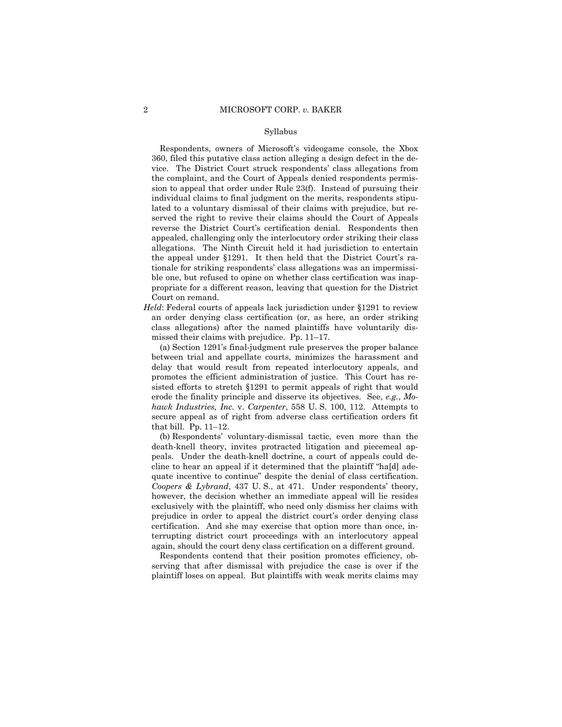Respondents, owners of Microsoft's videogame console, the Xbox 360, filed this putative class action alleging a design defect in the device. The District Court struck respondents' class allegations from the complaint, and the Court of Appeals denied respondents permission to appeal that order under Rule 23(f). Instead of pursuing their individual claims to final judgment on the merits, respondents stipulated to a voluntary dismissal of their claims with prejudice, but reserved the right to revive their claims should the Court of Appeals reverse the District Court's certification denial. Respondents then appealed, challenging only the interlocutory order striking their class allegations. The Ninth Circuit held it had jurisdiction to entertain the appeal under §1291. It then held that the District Court's rationale for striking respondents' class allegations was an impermissible one, but refused to opine on whether class certification was inappropriate for a different reason, leaving that question for the District Court on remand.

 an order denying class certification (or, as here, an order striking *Held*: Federal courts of appeals lack jurisdiction under §1291 to review class allegations) after the named plaintiffs have voluntarily dismissed their claims with prejudice. Pp. 11–17.

(a) Section 1291's final-judgment rule preserves the proper balance between trial and appellate courts, minimizes the harassment and delay that would result from repeated interlocutory appeals, and promotes the efficient administration of justice. This Court has resisted efforts to stretch §1291 to permit appeals of right that would erode the finality principle and disserve its objectives. See, *e.g.*, *Mohawk Industries, Inc.* v. *Carpenter*, 558 U. S. 100, 112. Attempts to secure appeal as of right from adverse class certification orders fit that bill. Pp. 11–12.

(b) Respondents' voluntary-dismissal tactic, even more than the death-knell theory, invites protracted litigation and piecemeal appeals. Under the death-knell doctrine, a court of appeals could decline to hear an appeal if it determined that the plaintiff "ha[d] adequate incentive to continue" despite the denial of class certification. *Coopers & Lybrand*, 437 U. S., at 471. Under respondents' theory, however, the decision whether an immediate appeal will lie resides exclusively with the plaintiff, who need only dismiss her claims with prejudice in order to appeal the district court's order denying class certification. And she may exercise that option more than once, interrupting district court proceedings with an interlocutory appeal again, should the court deny class certification on a different ground.

Respondents contend that their position promotes efficiency, observing that after dismissal with prejudice the case is over if the plaintiff loses on appeal. But plaintiffs with weak merits claims may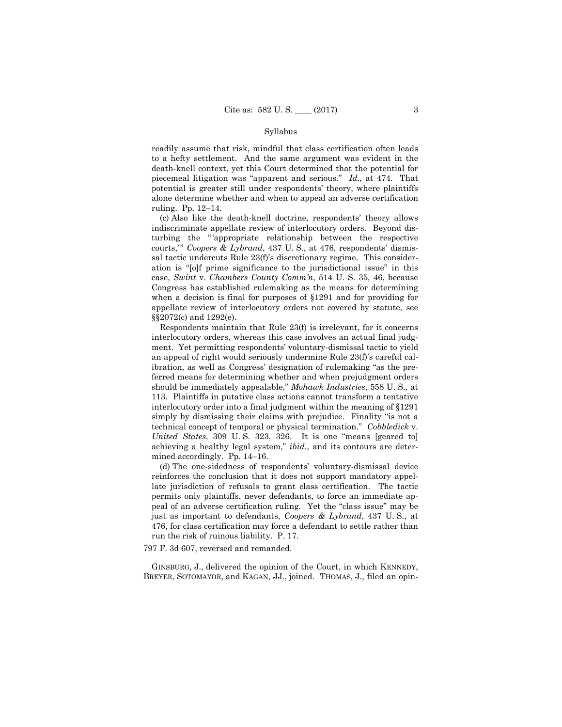readily assume that risk, mindful that class certification often leads to a hefty settlement. And the same argument was evident in the death-knell context, yet this Court determined that the potential for piecemeal litigation was "apparent and serious." *Id*., at 474. That potential is greater still under respondents' theory, where plaintiffs alone determine whether and when to appeal an adverse certification ruling. Pp. 12–14.

(c) Also like the death-knell doctrine, respondents' theory allows indiscriminate appellate review of interlocutory orders. Beyond disturbing the " 'appropriate relationship between the respective courts," Coopers & Lybrand, 437 U. S., at 476, respondents' dismissal tactic undercuts Rule 23(f)'s discretionary regime. This consideration is "[o]f prime significance to the jurisdictional issue" in this case, *Swint* v. *Chambers County Comm'n*, 514 U. S. 35, 46, because Congress has established rulemaking as the means for determining when a decision is final for purposes of §1291 and for providing for appellate review of interlocutory orders not covered by statute, see §§2072(c) and 1292(e).

 simply by dismissing their claims with prejudice. Finality "is not a Respondents maintain that Rule 23(f) is irrelevant, for it concerns interlocutory orders, whereas this case involves an actual final judgment. Yet permitting respondents' voluntary-dismissal tactic to yield an appeal of right would seriously undermine Rule 23(f)'s careful calibration, as well as Congress' designation of rulemaking "as the preferred means for determining whether and when prejudgment orders should be immediately appealable," *Mohawk Industries*, 558 U. S.*,* at 113. Plaintiffs in putative class actions cannot transform a tentative interlocutory order into a final judgment within the meaning of §1291 technical concept of temporal or physical termination." *Cobbledick* v. *United States*, 309 U. S. 323, 326. It is one "means [geared to] achieving a healthy legal system," *ibid.*, and its contours are determined accordingly. Pp. 14–16.

(d) The one-sidedness of respondents' voluntary-dismissal device reinforces the conclusion that it does not support mandatory appellate jurisdiction of refusals to grant class certification. The tactic permits only plaintiffs, never defendants, to force an immediate appeal of an adverse certification ruling. Yet the "class issue" may be just as important to defendants, *Coopers & Lybrand*, 437 U. S., at 476, for class certification may force a defendant to settle rather than run the risk of ruinous liability. P. 17.

797 F. 3d 607, reversed and remanded.

 GINSBURG, J., delivered the opinion of the Court, in which KENNEDY, BREYER, SOTOMAYOR, and KAGAN, JJ., joined. THOMAS, J., filed an opin-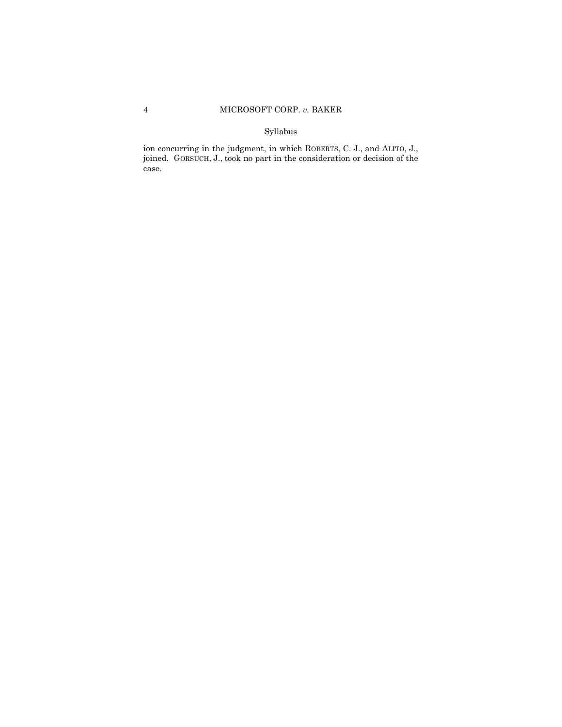ion concurring in the judgment, in which ROBERTS, C. J., and ALITO, J., joined. GORSUCH, J., took no part in the consideration or decision of the case.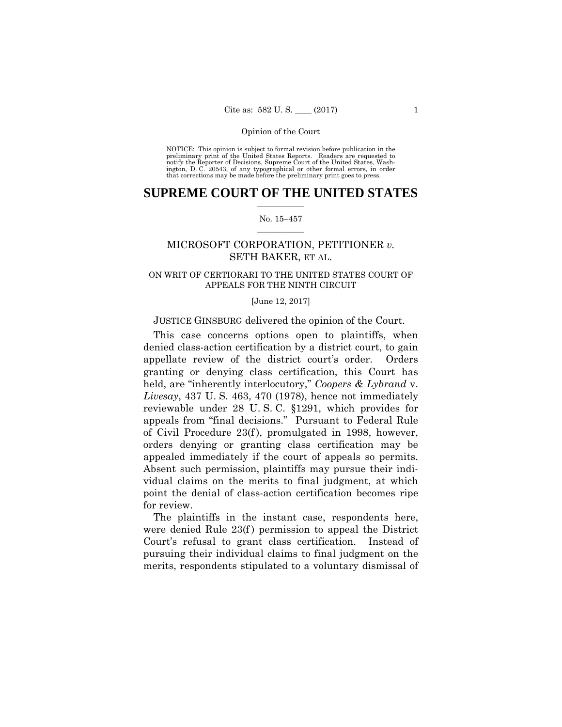preliminary print of the United States Reports. Readers are requested to notify the Reporter of Decisions, Supreme Court of the United States, Wash- ington, D. C. 20543, of any typographical or other formal errors, in order that corrections may be made before the preliminary print goes to press. NOTICE: This opinion is subject to formal revision before publication in the

## $\frac{1}{2}$  , where  $\frac{1}{2}$ **SUPREME COURT OF THE UNITED STATES**

### $\frac{1}{2}$  ,  $\frac{1}{2}$  ,  $\frac{1}{2}$  ,  $\frac{1}{2}$  ,  $\frac{1}{2}$  ,  $\frac{1}{2}$ No. 15–457

# MICROSOFT CORPORATION, PETITIONER *v.*  SETH BAKER, ET AL.

# ON WRIT OF CERTIORARI TO THE UNITED STATES COURT OF APPEALS FOR THE NINTH CIRCUIT

#### [June 12, 2017]

## JUSTICE GINSBURG delivered the opinion of the Court.

This case concerns options open to plaintiffs, when denied class-action certification by a district court, to gain appellate review of the district court's order. Orders granting or denying class certification, this Court has held, are "inherently interlocutory," *Coopers & Lybrand* v. *Livesay*, 437 U. S. 463, 470 (1978), hence not immediately reviewable under 28 U. S. C. §1291, which provides for appeals from "final decisions." Pursuant to Federal Rule of Civil Procedure 23(f ), promulgated in 1998, however, orders denying or granting class certification may be appealed immediately if the court of appeals so permits. Absent such permission, plaintiffs may pursue their individual claims on the merits to final judgment, at which point the denial of class-action certification becomes ripe for review.

The plaintiffs in the instant case, respondents here, were denied Rule 23(f) permission to appeal the District Court's refusal to grant class certification. Instead of pursuing their individual claims to final judgment on the merits, respondents stipulated to a voluntary dismissal of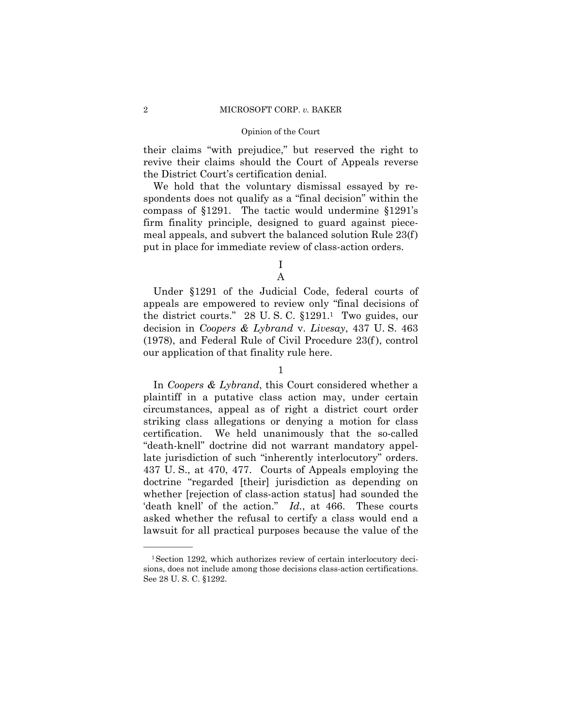their claims "with prejudice," but reserved the right to revive their claims should the Court of Appeals reverse the District Court's certification denial.

We hold that the voluntary dismissal essayed by respondents does not qualify as a "final decision" within the compass of §1291. The tactic would undermine §1291's firm finality principle, designed to guard against piecemeal appeals, and subvert the balanced solution Rule 23(f) put in place for immediate review of class-action orders.

I

A

Under §1291 of the Judicial Code, federal courts of appeals are empowered to review only "final decisions of the district courts." 28 U. S. C. §1291.1 Two guides, our decision in *Coopers & Lybrand* v. *Livesay*, 437 U. S. 463 (1978), and Federal Rule of Civil Procedure 23(f ), control our application of that finality rule here.

1

In *Coopers & Lybrand*, this Court considered whether a plaintiff in a putative class action may, under certain circumstances, appeal as of right a district court order striking class allegations or denying a motion for class certification. We held unanimously that the so-called "death-knell" doctrine did not warrant mandatory appellate jurisdiction of such "inherently interlocutory" orders. 437 U. S., at 470, 477. Courts of Appeals employing the doctrine "regarded [their] jurisdiction as depending on whether [rejection of class-action status] had sounded the 'death knell' of the action." *Id.*, at 466. These courts asked whether the refusal to certify a class would end a lawsuit for all practical purposes because the value of the

<sup>1</sup>Section 1292, which authorizes review of certain interlocutory decisions, does not include among those decisions class-action certifications. See 28 U. S. C. §1292.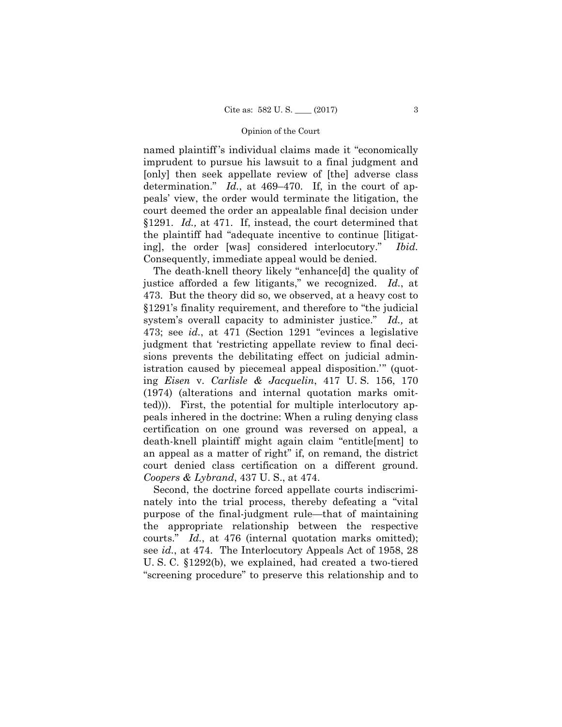named plaintiff 's individual claims made it "economically imprudent to pursue his lawsuit to a final judgment and [only] then seek appellate review of [the] adverse class determination." *Id.*, at 469–470. If, in the court of appeals' view, the order would terminate the litigation, the court deemed the order an appealable final decision under §1291. *Id.,* at 471. If, instead, the court determined that the plaintiff had "adequate incentive to continue [litigating], the order [was] considered interlocutory." *Ibid.*  Consequently, immediate appeal would be denied.

 court denied class certification on a different ground. The death-knell theory likely "enhance[d] the quality of justice afforded a few litigants," we recognized. *Id.*, at 473. But the theory did so, we observed, at a heavy cost to §1291's finality requirement, and therefore to "the judicial system's overall capacity to administer justice." *Id.,* at 473; see *id.*, at 471 (Section 1291 "evinces a legislative judgment that 'restricting appellate review to final decisions prevents the debilitating effect on judicial administration caused by piecemeal appeal disposition.'" (quoting *Eisen* v. *Carlisle & Jacquelin*, 417 U. S. 156, 170 (1974) (alterations and internal quotation marks omitted))). First, the potential for multiple interlocutory appeals inhered in the doctrine: When a ruling denying class certification on one ground was reversed on appeal, a death-knell plaintiff might again claim "entitle[ment] to an appeal as a matter of right" if, on remand, the district *Coopers & Lybrand*, 437 U. S., at 474.

Second, the doctrine forced appellate courts indiscriminately into the trial process, thereby defeating a "vital purpose of the final-judgment rule—that of maintaining the appropriate relationship between the respective courts." *Id.*, at 476 (internal quotation marks omitted); see *id.*, at 474. The Interlocutory Appeals Act of 1958, 28 U. S. C. §1292(b), we explained, had created a two-tiered "screening procedure" to preserve this relationship and to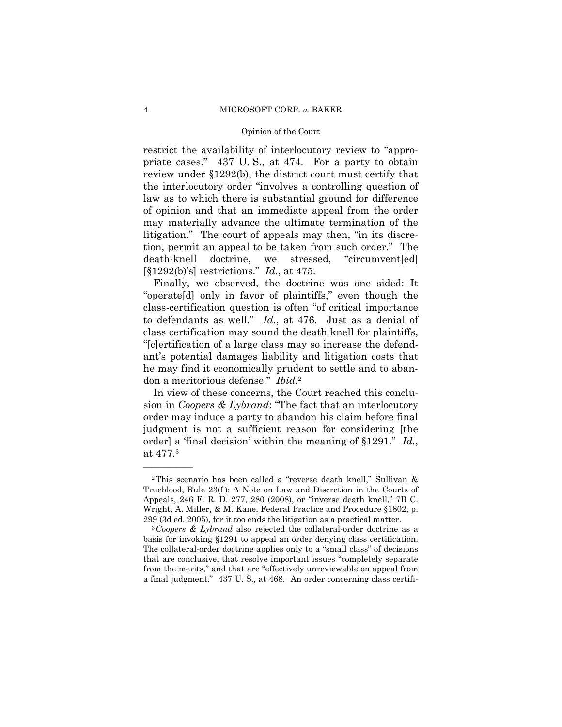restrict the availability of interlocutory review to "appropriate cases." 437 U. S., at 474. For a party to obtain review under §1292(b), the district court must certify that the interlocutory order "involves a controlling question of law as to which there is substantial ground for difference of opinion and that an immediate appeal from the order may materially advance the ultimate termination of the litigation." The court of appeals may then, "in its discretion, permit an appeal to be taken from such order." The death-knell doctrine, we stressed, "circumvent[ed] [§1292(b)'s] restrictions." *Id.*, at 475.

Finally, we observed, the doctrine was one sided: It "operate[d] only in favor of plaintiffs," even though the class-certification question is often "of critical importance to defendants as well." *Id.*, at 476. Just as a denial of class certification may sound the death knell for plaintiffs, "[c]ertification of a large class may so increase the defendant's potential damages liability and litigation costs that he may find it economically prudent to settle and to abandon a meritorious defense." *Ibid.*<sup>2</sup>

In view of these concerns, the Court reached this conclusion in *Coopers & Lybrand*: "The fact that an interlocutory order may induce a party to abandon his claim before final judgment is not a sufficient reason for considering [the order] a 'final decision' within the meaning of §1291." *Id.*, at 477.3

<sup>2</sup>This scenario has been called a "reverse death knell," Sullivan & Trueblood, Rule 23(f ): A Note on Law and Discretion in the Courts of Appeals, 246 F. R. D. 277, 280 (2008), or "inverse death knell," 7B C. Wright, A. Miller, & M. Kane, Federal Practice and Procedure §1802, p. 299 (3d ed. 2005), for it too ends the litigation as a practical matter. 3 *Coopers & Lybrand* also rejected the collateral-order doctrine as a

 basis for invoking §1291 to appeal an order denying class certification. The collateral-order doctrine applies only to a "small class" of decisions that are conclusive, that resolve important issues "completely separate from the merits," and that are "effectively unreviewable on appeal from a final judgment." 437 U. S., at 468. An order concerning class certifi-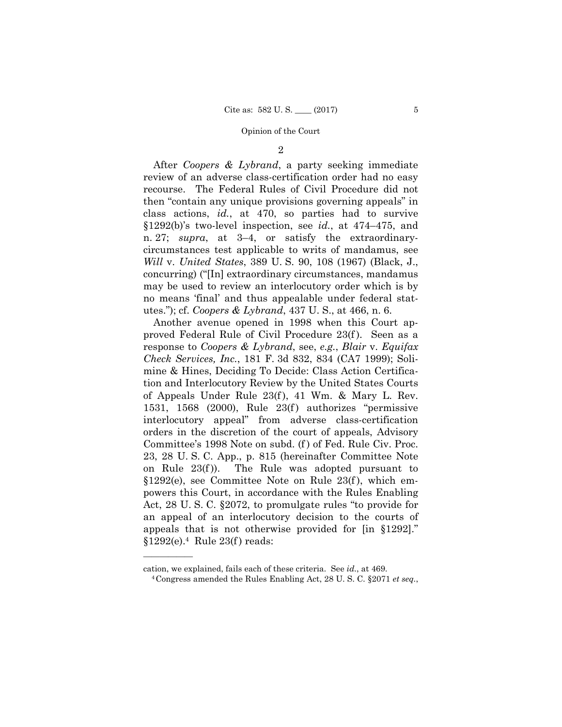2

After *Coopers & Lybrand*, a party seeking immediate review of an adverse class-certification order had no easy recourse. The Federal Rules of Civil Procedure did not then "contain any unique provisions governing appeals" in class actions, *id.*, at 470, so parties had to survive §1292(b)'s two-level inspection, see *id.*, at 474–475, and n. 27; *supra*, at 3–4, or satisfy the extraordinarycircumstances test applicable to writs of mandamus, see *Will* v. *United States*, 389 U. S. 90, 108 (1967) (Black, J., concurring) ("[In] extraordinary circumstances, mandamus may be used to review an interlocutory order which is by no means 'final' and thus appealable under federal statutes."); cf. *Coopers & Lybrand*, 437 U. S., at 466, n. 6.

Another avenue opened in 1998 when this Court approved Federal Rule of Civil Procedure 23(f ). Seen as a response to *Coopers & Lybrand*, see, *e.g.*, *Blair* v. *Equifax Check Services, Inc.*, 181 F. 3d 832, 834 (CA7 1999); Solimine & Hines, Deciding To Decide: Class Action Certification and Interlocutory Review by the United States Courts of Appeals Under Rule 23(f ), 41 Wm. & Mary L. Rev. 1531, 1568 (2000), Rule  $23(f)$  authorizes "permissive interlocutory appeal" from adverse class-certification orders in the discretion of the court of appeals, Advisory Committee's 1998 Note on subd. (f) of Fed. Rule Civ. Proc. 23, 28 U. S. C. App., p. 815 (hereinafter Committee Note on Rule  $23(f)$ ). The Rule was adopted pursuant to §1292(e), see Committee Note on Rule 23(f ), which empowers this Court, in accordance with the Rules Enabling Act, 28 U. S. C. §2072, to promulgate rules "to provide for an appeal of an interlocutory decision to the courts of appeals that is not otherwise provided for [in §1292]." §1292(e).4 Rule 23(f ) reads:

cation, we explained, fails each of these criteria. See *id.*, at 469. 4Congress amended the Rules Enabling Act, 28 U. S. C. §2071 *et seq.*,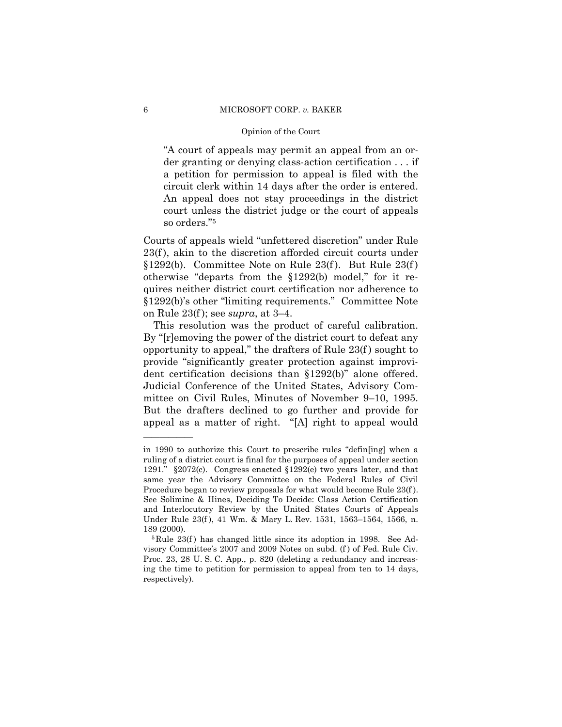"A court of appeals may permit an appeal from an order granting or denying class-action certification . . . if a petition for permission to appeal is filed with the circuit clerk within 14 days after the order is entered. An appeal does not stay proceedings in the district court unless the district judge or the court of appeals so orders."5

Courts of appeals wield "unfettered discretion" under Rule 23(f), akin to the discretion afforded circuit courts under §1292(b). Committee Note on Rule 23(f ). But Rule 23(f ) otherwise "departs from the §1292(b) model," for it requires neither district court certification nor adherence to §1292(b)'s other "limiting requirements." Committee Note on Rule 23(f ); see *supra*, at 3–4.

 This resolution was the product of careful calibration. By "[r]emoving the power of the district court to defeat any opportunity to appeal," the drafters of Rule 23(f ) sought to provide "significantly greater protection against improvident certification decisions than §1292(b)" alone offered. Judicial Conference of the United States, Advisory Committee on Civil Rules, Minutes of November 9–10, 1995. But the drafters declined to go further and provide for appeal as a matter of right. "[A] right to appeal would

in 1990 to authorize this Court to prescribe rules "defin[ing] when a ruling of a district court is final for the purposes of appeal under section 1291." §2072(c). Congress enacted §1292(e) two years later, and that same year the Advisory Committee on the Federal Rules of Civil Procedure began to review proposals for what would become Rule 23(f ). See Solimine & Hines, Deciding To Decide: Class Action Certification and Interlocutory Review by the United States Courts of Appeals Under Rule 23(f ), 41 Wm. & Mary L. Rev. 1531, 1563–1564, 1566, n. 189 (2000).<br><sup>5</sup>Rule 23(f) has changed little since its adoption in 1998. See Ad-

visory Committee's 2007 and 2009 Notes on subd. (f ) of Fed. Rule Civ. Proc. 23, 28 U. S. C. App., p. 820 (deleting a redundancy and increasing the time to petition for permission to appeal from ten to 14 days, respectively).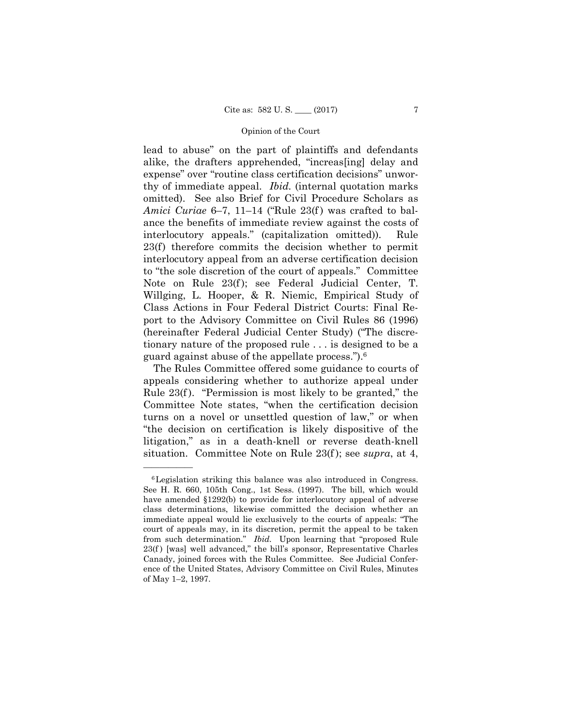lead to abuse" on the part of plaintiffs and defendants alike, the drafters apprehended, "increas[ing] delay and expense" over "routine class certification decisions" unworthy of immediate appeal. *Ibid.* (internal quotation marks omitted). See also Brief for Civil Procedure Scholars as *Amici Curiae* 6–7, 11–14 ("Rule 23(f) was crafted to balance the benefits of immediate review against the costs of interlocutory appeals." (capitalization omitted)). Rule 23(f) therefore commits the decision whether to permit interlocutory appeal from an adverse certification decision to "the sole discretion of the court of appeals." Committee Note on Rule 23(f); see Federal Judicial Center, T. Willging, L. Hooper, & R. Niemic, Empirical Study of Class Actions in Four Federal District Courts: Final Report to the Advisory Committee on Civil Rules 86 (1996) (hereinafter Federal Judicial Center Study) ("The discretionary nature of the proposed rule . . . is designed to be a guard against abuse of the appellate process.").6

The Rules Committee offered some guidance to courts of appeals considering whether to authorize appeal under Rule 23(f). "Permission is most likely to be granted," the Committee Note states, "when the certification decision turns on a novel or unsettled question of law," or when "the decision on certification is likely dispositive of the litigation," as in a death-knell or reverse death-knell situation. Committee Note on Rule 23(f ); see *supra*, at 4,

 from such determination." *Ibid.* Upon learning that "proposed Rule 6Legislation striking this balance was also introduced in Congress. See H. R. 660, 105th Cong., 1st Sess. (1997). The bill, which would have amended §1292(b) to provide for interlocutory appeal of adverse class determinations, likewise committed the decision whether an immediate appeal would lie exclusively to the courts of appeals: "The court of appeals may, in its discretion, permit the appeal to be taken  $23(f)$  [was] well advanced," the bill's sponsor, Representative Charles Canady, joined forces with the Rules Committee. See Judicial Conference of the United States, Advisory Committee on Civil Rules, Minutes of May 1–2, 1997.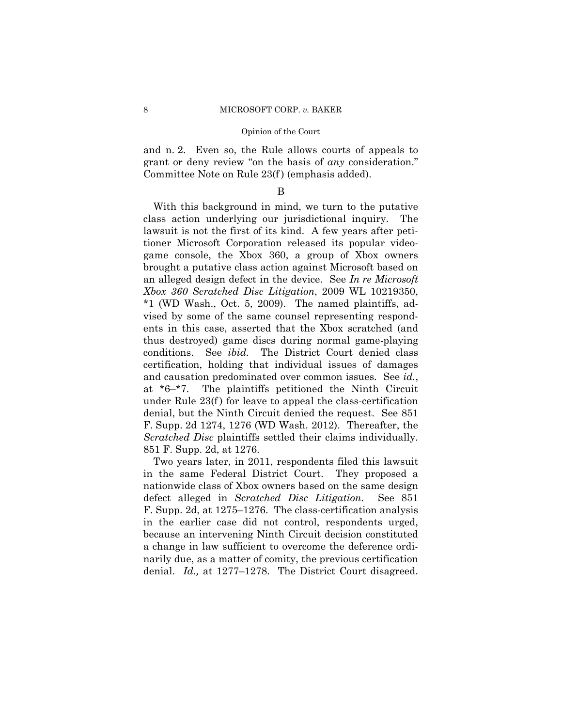and n. 2. Even so, the Rule allows courts of appeals to grant or deny review "on the basis of *any* consideration." Committee Note on Rule 23(f ) (emphasis added).

# B

With this background in mind, we turn to the putative class action underlying our jurisdictional inquiry. The lawsuit is not the first of its kind. A few years after petitioner Microsoft Corporation released its popular videogame console, the Xbox 360, a group of Xbox owners brought a putative class action against Microsoft based on an alleged design defect in the device. See *In re Microsoft Xbox 360 Scratched Disc Litigation*, 2009 WL 10219350, \*1 (WD Wash., Oct. 5, 2009). The named plaintiffs, advised by some of the same counsel representing respondents in this case, asserted that the Xbox scratched (and thus destroyed) game discs during normal game-playing conditions. See *ibid.* The District Court denied class certification, holding that individual issues of damages and causation predominated over common issues. See *id.*, at \*6–\*7. The plaintiffs petitioned the Ninth Circuit under Rule 23(f ) for leave to appeal the class-certification denial, but the Ninth Circuit denied the request. See 851 F. Supp. 2d 1274, 1276 (WD Wash. 2012). Thereafter, the *Scratched Disc* plaintiffs settled their claims individually. 851 F. Supp. 2d, at 1276.

Two years later, in 2011, respondents filed this lawsuit in the same Federal District Court. They proposed a nationwide class of Xbox owners based on the same design defect alleged in *Scratched Disc Litigation*. See 851 F. Supp. 2d, at 1275–1276. The class-certification analysis in the earlier case did not control, respondents urged, because an intervening Ninth Circuit decision constituted a change in law sufficient to overcome the deference ordinarily due, as a matter of comity, the previous certification denial. *Id.,* at 1277–1278. The District Court disagreed.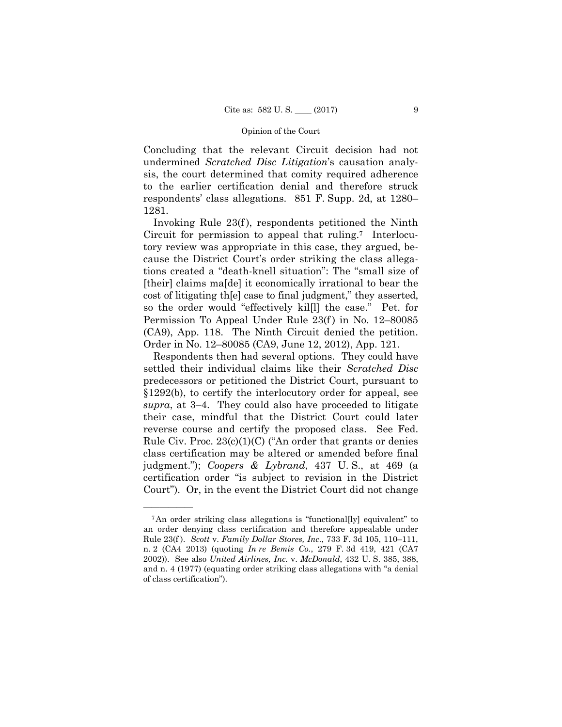Concluding that the relevant Circuit decision had not undermined *Scratched Disc Litigation*'s causation analysis, the court determined that comity required adherence to the earlier certification denial and therefore struck respondents' class allegations. 851 F. Supp. 2d, at 1280– 1281.

Invoking Rule 23(f ), respondents petitioned the Ninth Circuit for permission to appeal that ruling.7 Interlocutory review was appropriate in this case, they argued, because the District Court's order striking the class allegations created a "death-knell situation": The "small size of [their] claims ma[de] it economically irrational to bear the cost of litigating th[e] case to final judgment," they asserted, so the order would "effectively kil[l] the case." Pet. for Permission To Appeal Under Rule 23(f) in No. 12–80085 (CA9), App. 118. The Ninth Circuit denied the petition. Order in No. 12–80085 (CA9, June 12, 2012), App. 121.

Respondents then had several options. They could have settled their individual claims like their *Scratched Disc*  predecessors or petitioned the District Court, pursuant to §1292(b), to certify the interlocutory order for appeal, see *supra*, at 3–4. They could also have proceeded to litigate their case, mindful that the District Court could later reverse course and certify the proposed class. See Fed. Rule Civ. Proc.  $23(c)(1)(C)$  ("An order that grants or denies") class certification may be altered or amended before final judgment."); *Coopers & Lybrand*, 437 U. S., at 469 (a certification order "is subject to revision in the District Court"). Or, in the event the District Court did not change

<sup>7</sup>An order striking class allegations is "functional[ly] equivalent" to an order denying class certification and therefore appealable under Rule 23(f ). *Scott* v. *Family Dollar Stores, Inc.*, 733 F. 3d 105, 110–111, n. 2 (CA4 2013) (quoting *In re Bemis Co.*, 279 F. 3d 419, 421 (CA7 2002)). See also *United Airlines, Inc.* v. *McDonald*, 432 U. S. 385, 388, and n. 4 (1977) (equating order striking class allegations with "a denial of class certification").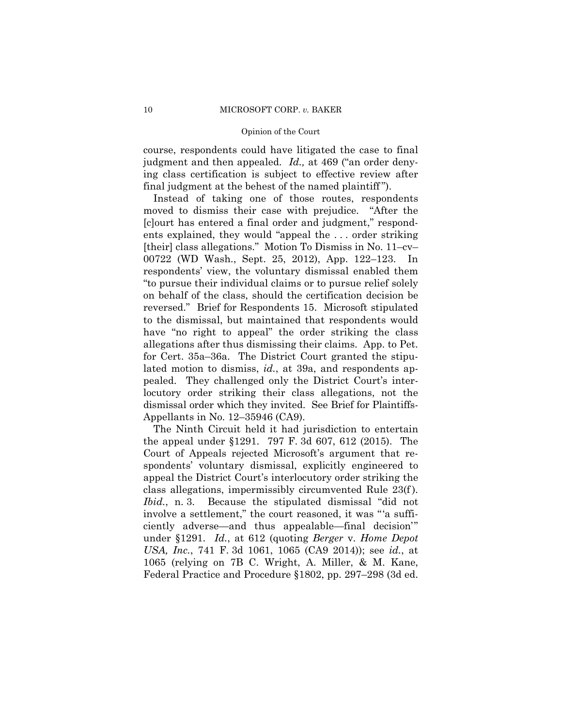course, respondents could have litigated the case to final judgment and then appealed. *Id.,* at 469 ("an order denying class certification is subject to effective review after final judgment at the behest of the named plaintiff ").

 reversed." Brief for Respondents 15. Microsoft stipulated Instead of taking one of those routes, respondents moved to dismiss their case with prejudice. "After the [c]ourt has entered a final order and judgment," respondents explained, they would "appeal the . . . order striking [their] class allegations." Motion To Dismiss in No. 11–cv– 00722 (WD Wash., Sept. 25, 2012), App. 122–123. In respondents' view, the voluntary dismissal enabled them "to pursue their individual claims or to pursue relief solely on behalf of the class, should the certification decision be to the dismissal, but maintained that respondents would have "no right to appeal" the order striking the class allegations after thus dismissing their claims. App. to Pet. for Cert. 35a–36a. The District Court granted the stipulated motion to dismiss, *id.*, at 39a, and respondents appealed. They challenged only the District Court's interlocutory order striking their class allegations, not the dismissal order which they invited. See Brief for Plaintiffs-Appellants in No. 12–35946 (CA9).

The Ninth Circuit held it had jurisdiction to entertain the appeal under §1291. 797 F. 3d 607, 612 (2015). The Court of Appeals rejected Microsoft's argument that respondents' voluntary dismissal, explicitly engineered to appeal the District Court's interlocutory order striking the class allegations, impermissibly circumvented Rule 23(f ). *Ibid.*, n. 3. Because the stipulated dismissal "did not involve a settlement," the court reasoned, it was "'a sufficiently adverse—and thus appealable—final decision'" under §1291. *Id.*, at 612 (quoting *Berger* v. *Home Depot USA, Inc.*, 741 F. 3d 1061, 1065 (CA9 2014)); see *id.*, at 1065 (relying on 7B C. Wright, A. Miller, & M. Kane, Federal Practice and Procedure §1802, pp. 297–298 (3d ed.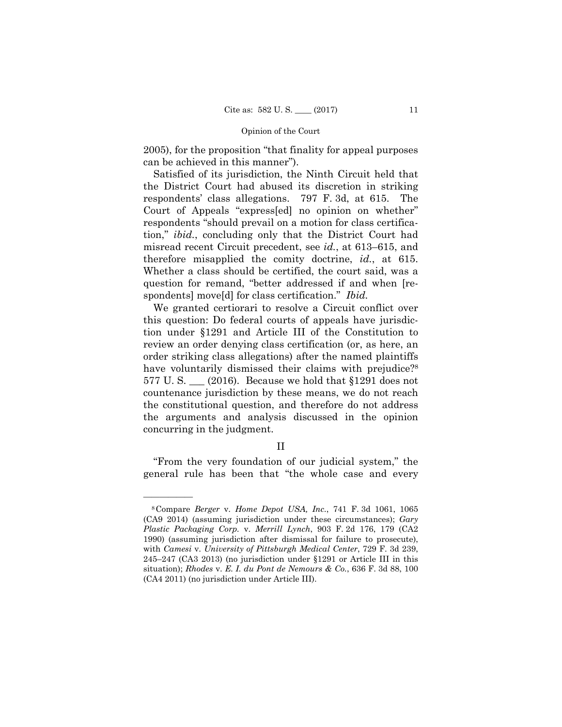2005), for the proposition "that finality for appeal purposes can be achieved in this manner").

Satisfied of its jurisdiction, the Ninth Circuit held that the District Court had abused its discretion in striking respondents' class allegations. 797 F. 3d, at 615. The Court of Appeals "express[ed] no opinion on whether" respondents "should prevail on a motion for class certification," *ibid.*, concluding only that the District Court had misread recent Circuit precedent, see *id.*, at 613–615, and therefore misapplied the comity doctrine, *id.*, at 615. Whether a class should be certified, the court said, was a question for remand, "better addressed if and when [respondents] move[d] for class certification." *Ibid.* 

have voluntarily dismissed their claims with prejudice?<sup>8</sup> We granted certiorari to resolve a Circuit conflict over this question: Do federal courts of appeals have jurisdiction under §1291 and Article III of the Constitution to review an order denying class certification (or, as here, an order striking class allegations) after the named plaintiffs 577 U.S.  $(2016)$ . Because we hold that §1291 does not countenance jurisdiction by these means, we do not reach the constitutional question, and therefore do not address the arguments and analysis discussed in the opinion concurring in the judgment.

# II

"From the very foundation of our judicial system," the general rule has been that "the whole case and every

<sup>8</sup>Compare *Berger* v. *Home Depot USA, Inc.*, 741 F. 3d 1061, 1065 (CA9 2014) (assuming jurisdiction under these circumstances); *Gary Plastic Packaging Corp.* v. *Merrill Lynch*, 903 F. 2d 176, 179 (CA2 1990) (assuming jurisdiction after dismissal for failure to prosecute), with *Camesi* v. *University of Pittsburgh Medical Center*, 729 F. 3d 239, 245–247 (CA3 2013) (no jurisdiction under §1291 or Article III in this situation); *Rhodes* v. *E. I. du Pont de Nemours & Co.*, 636 F. 3d 88, 100 (CA4 2011) (no jurisdiction under Article III).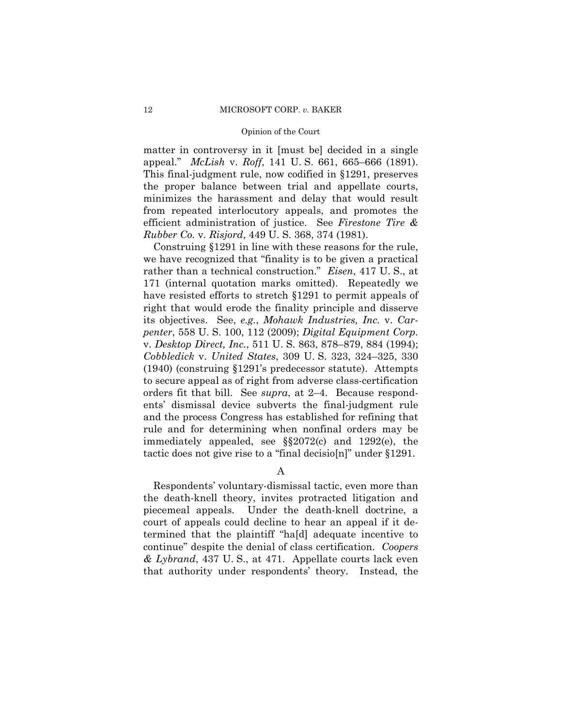matter in controversy in it [must be] decided in a single appeal." *McLish* v. *Roff*, 141 U. S. 661, 665–666 (1891). This final-judgment rule, now codified in §1291, preserves the proper balance between trial and appellate courts, minimizes the harassment and delay that would result from repeated interlocutory appeals, and promotes the efficient administration of justice. See *Firestone Tire & Rubber Co.* v. *Risjord*, 449 U. S. 368, 374 (1981).

Construing §1291 in line with these reasons for the rule, we have recognized that "finality is to be given a practical rather than a technical construction." *Eisen*, 417 U. S., at 171 (internal quotation marks omitted). Repeatedly we have resisted efforts to stretch §1291 to permit appeals of right that would erode the finality principle and disserve its objectives. See, *e.g.*, *Mohawk Industries, Inc.* v. *Carpenter*, 558 U. S. 100, 112 (2009); *Digital Equipment Corp.*  v. *Desktop Direct, Inc.*, 511 U. S. 863, 878–879, 884 (1994); *Cobbledick* v. *United States*, 309 U. S. 323, 324–325, 330 (1940) (construing §1291's predecessor statute). Attempts to secure appeal as of right from adverse class-certification orders fit that bill. See *supra*, at 2–4. Because respondents' dismissal device subverts the final-judgment rule and the process Congress has established for refining that rule and for determining when nonfinal orders may be immediately appealed, see §§2072(c) and 1292(e), the tactic does not give rise to a "final decisio[n]" under §1291.

A

Respondents' voluntary-dismissal tactic, even more than the death-knell theory, invites protracted litigation and piecemeal appeals. Under the death-knell doctrine, a court of appeals could decline to hear an appeal if it determined that the plaintiff "ha[d] adequate incentive to continue" despite the denial of class certification. *Coopers & Lybrand*, 437 U. S., at 471. Appellate courts lack even that authority under respondents' theory. Instead, the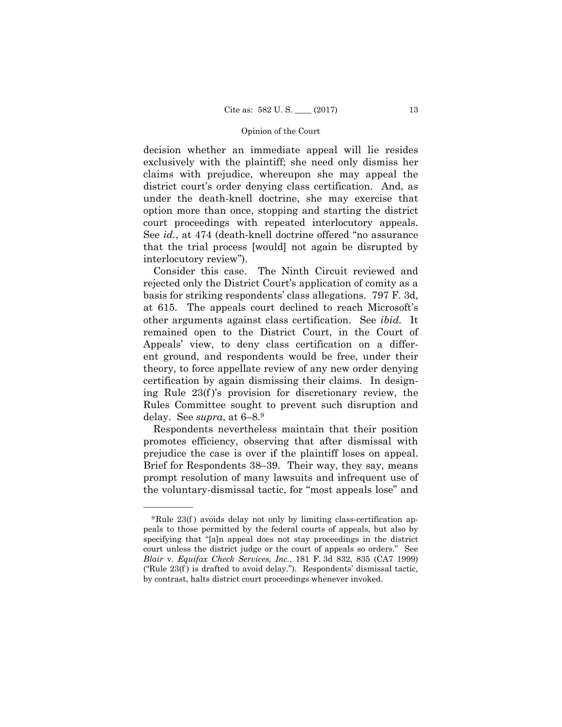decision whether an immediate appeal will lie resides exclusively with the plaintiff; she need only dismiss her claims with prejudice, whereupon she may appeal the district court's order denying class certification. And, as under the death-knell doctrine, she may exercise that option more than once, stopping and starting the district court proceedings with repeated interlocutory appeals. See *id.*, at 474 (death-knell doctrine offered "no assurance that the trial process [would] not again be disrupted by interlocutory review").

 other arguments against class certification. See *ibid.* It remained open to the District Court, in the Court of Consider this case. The Ninth Circuit reviewed and rejected only the District Court's application of comity as a basis for striking respondents' class allegations. 797 F. 3d, at 615. The appeals court declined to reach Microsoft's Appeals' view, to deny class certification on a different ground, and respondents would be free, under their theory, to force appellate review of any new order denying certification by again dismissing their claims. In designing Rule 23(f )'s provision for discretionary review, the Rules Committee sought to prevent such disruption and delay. See *supra*, at 6–8.9

Respondents nevertheless maintain that their position promotes efficiency, observing that after dismissal with prejudice the case is over if the plaintiff loses on appeal. Brief for Respondents 38–39. Their way, they say, means prompt resolution of many lawsuits and infrequent use of the voluntary-dismissal tactic, for "most appeals lose" and

 $9$ Rule 23(f) avoids delay not only by limiting class-certification appeals to those permitted by the federal courts of appeals, but also by specifying that "[a]n appeal does not stay proceedings in the district court unless the district judge or the court of appeals so orders." See *Blair* v. *Equifax Check Services, Inc.*, 181 F. 3d 832, 835 (CA7 1999) ("Rule  $23(f)$  is drafted to avoid delay."). Respondents' dismissal tactic, by contrast, halts district court proceedings whenever invoked.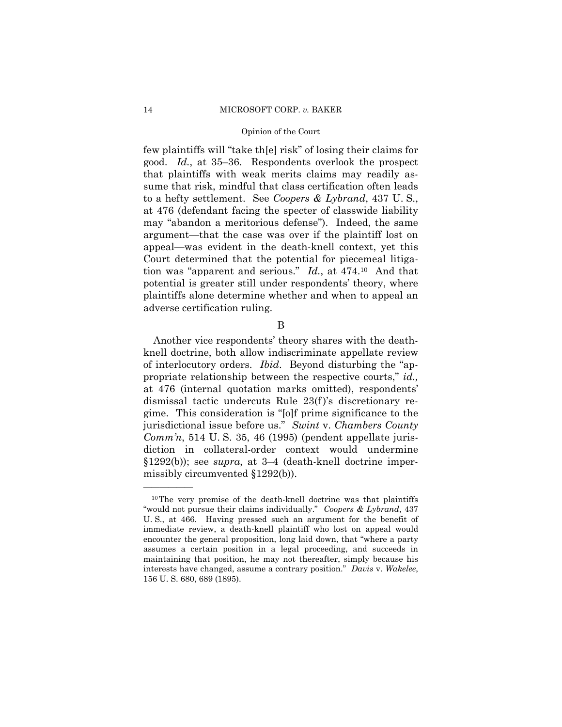few plaintiffs will "take th[e] risk" of losing their claims for good. *Id.*, at 35–36. Respondents overlook the prospect that plaintiffs with weak merits claims may readily assume that risk, mindful that class certification often leads to a hefty settlement. See *Coopers & Lybrand*, 437 U. S., at 476 (defendant facing the specter of classwide liability may "abandon a meritorious defense"). Indeed, the same argument—that the case was over if the plaintiff lost on appeal—was evident in the death-knell context, yet this Court determined that the potential for piecemeal litigation was "apparent and serious." *Id.*, at 474.10 And that potential is greater still under respondents' theory, where plaintiffs alone determine whether and when to appeal an adverse certification ruling.

B

Another vice respondents' theory shares with the deathknell doctrine, both allow indiscriminate appellate review of interlocutory orders. *Ibid*. Beyond disturbing the "appropriate relationship between the respective courts," *id.,*  at 476 (internal quotation marks omitted), respondents' dismissal tactic undercuts Rule 23(f )'s discretionary regime. This consideration is "[o]f prime significance to the jurisdictional issue before us." *Swint* v. *Chambers County Comm'n*, 514 U. S. 35, 46 (1995) (pendent appellate jurisdiction in collateral-order context would undermine §1292(b)); see *supra*, at 3–4 (death-knell doctrine impermissibly circumvented §1292(b)).

 U. S., at 466. Having pressed such an argument for the benefit of interests have changed, assume a contrary position." *Davis* v. *Wakelee*, 10The very premise of the death-knell doctrine was that plaintiffs "would not pursue their claims individually." *Coopers & Lybrand*, 437 immediate review, a death-knell plaintiff who lost on appeal would encounter the general proposition, long laid down, that "where a party assumes a certain position in a legal proceeding, and succeeds in maintaining that position, he may not thereafter, simply because his 156 U. S. 680, 689 (1895).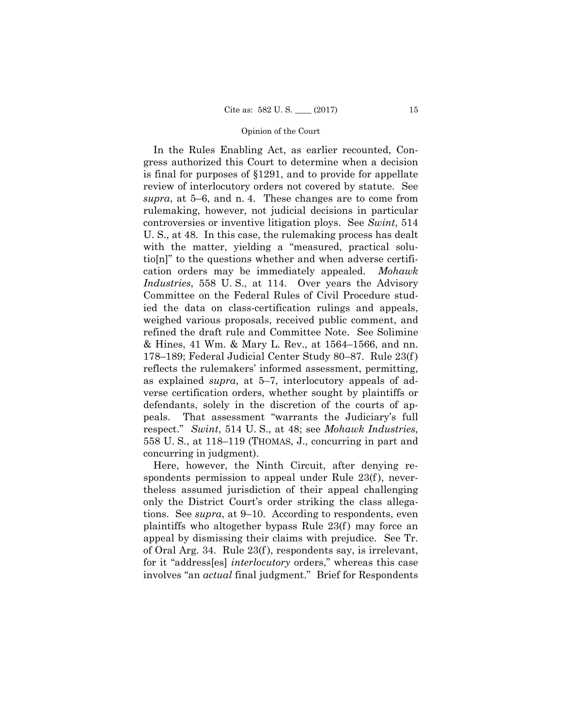In the Rules Enabling Act, as earlier recounted, Congress authorized this Court to determine when a decision is final for purposes of §1291, and to provide for appellate review of interlocutory orders not covered by statute. See *supra*, at 5–6, and n. 4. These changes are to come from rulemaking, however, not judicial decisions in particular controversies or inventive litigation ploys. See *Swint*, 514 U. S., at 48. In this case, the rulemaking process has dealt with the matter, yielding a "measured, practical solutio[n]" to the questions whether and when adverse certification orders may be immediately appealed. *Mohawk Industries*, 558 U. S., at 114. Over years the Advisory Committee on the Federal Rules of Civil Procedure studied the data on class-certification rulings and appeals, weighed various proposals, received public comment, and refined the draft rule and Committee Note. See Solimine & Hines, 41 Wm. & Mary L. Rev., at 1564–1566, and nn. 178–189; Federal Judicial Center Study 80–87. Rule 23(f ) reflects the rulemakers' informed assessment, permitting, as explained *supra*, at 5–7, interlocutory appeals of adverse certification orders, whether sought by plaintiffs or defendants, solely in the discretion of the courts of appeals. That assessment "warrants the Judiciary's full respect." *Swint*, 514 U. S., at 48; see *Mohawk Industries*, 558 U. S., at 118–119 (THOMAS, J., concurring in part and concurring in judgment).

Here, however, the Ninth Circuit, after denying respondents permission to appeal under Rule 23(f), nevertheless assumed jurisdiction of their appeal challenging only the District Court's order striking the class allegations. See *supra*, at 9–10. According to respondents, even plaintiffs who altogether bypass Rule  $23(f)$  may force an appeal by dismissing their claims with prejudice. See Tr. of Oral Arg. 34. Rule 23(f ), respondents say, is irrelevant, for it "address[es] *interlocutory* orders," whereas this case involves "an *actual* final judgment." Brief for Respondents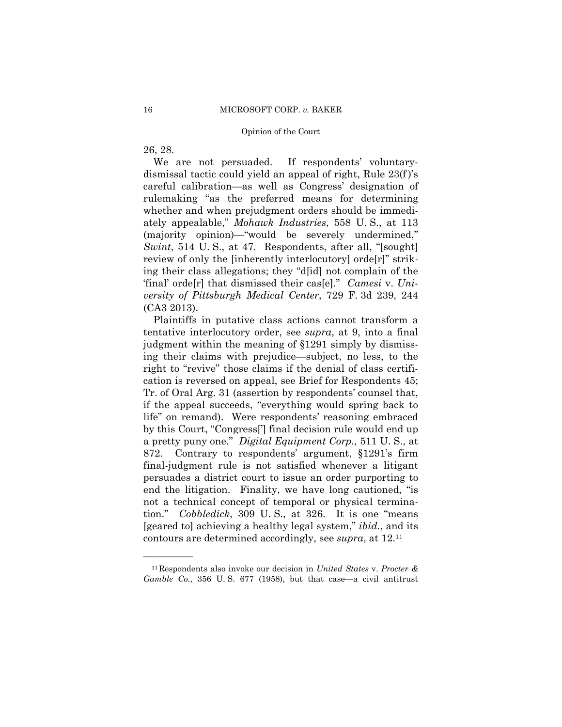26, 28.

——————

We are not persuaded. If respondents' voluntarydismissal tactic could yield an appeal of right, Rule 23(f )'s careful calibration—as well as Congress' designation of rulemaking "as the preferred means for determining whether and when prejudgment orders should be immediately appealable," *Mohawk Industries*, 558 U. S., at 113 (majority opinion)—"would be severely undermined," *Swint*, 514 U. S., at 47. Respondents, after all, "[sought] review of only the [inherently interlocutory] orde[r]" striking their class allegations; they "d[id] not complain of the 'final' orde[r] that dismissed their cas[e]." *Camesi* v. *University of Pittsburgh Medical Center*, 729 F. 3d 239, 244 (CA3 2013).

 persuades a district court to issue an order purporting to Plaintiffs in putative class actions cannot transform a tentative interlocutory order, see *supra*, at 9, into a final judgment within the meaning of §1291 simply by dismissing their claims with prejudice—subject, no less, to the right to "revive" those claims if the denial of class certification is reversed on appeal, see Brief for Respondents 45; Tr. of Oral Arg. 31 (assertion by respondents' counsel that, if the appeal succeeds, "everything would spring back to life" on remand). Were respondents' reasoning embraced by this Court, "Congress['] final decision rule would end up a pretty puny one." *Digital Equipment Corp.*, 511 U. S., at 872. Contrary to respondents' argument, §1291's firm final-judgment rule is not satisfied whenever a litigant end the litigation. Finality, we have long cautioned, "is not a technical concept of temporal or physical termination." *Cobbledick*, 309 U. S., at 326. It is one "means [geared to] achieving a healthy legal system," *ibid.*, and its contours are determined accordingly, see *supra*, at 12.11

<sup>11</sup>Respondents also invoke our decision in *United States* v. *Procter & Gamble Co.*, 356 U. S. 677 (1958), but that case—a civil antitrust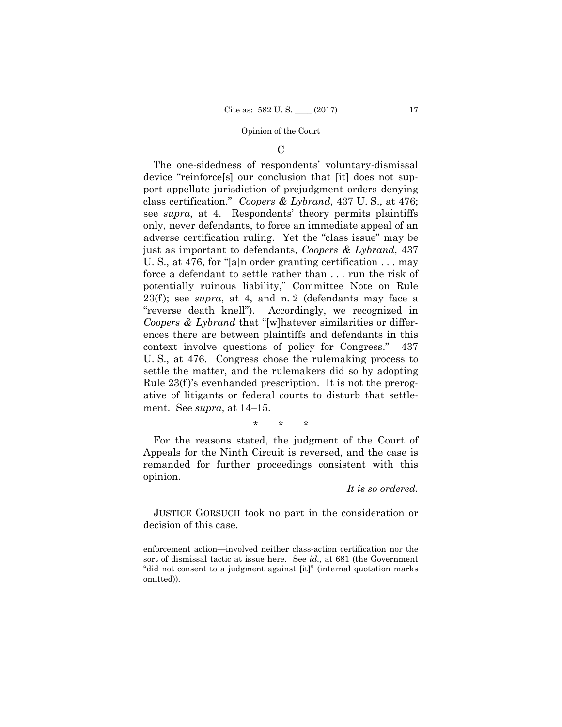$\mathcal{C}$ 

The one-sidedness of respondents' voluntary-dismissal device "reinforce[s] our conclusion that [it] does not support appellate jurisdiction of prejudgment orders denying class certification." *Coopers & Lybrand*, 437 U. S., at 476; see *supra*, at 4. Respondents' theory permits plaintiffs only, never defendants, to force an immediate appeal of an adverse certification ruling. Yet the "class issue" may be just as important to defendants, *Coopers & Lybrand*, 437 U. S., at 476, for "[a]n order granting certification . . . may force a defendant to settle rather than . . . run the risk of potentially ruinous liability," Committee Note on Rule 23(f ); see *supra*, at 4, and n. 2 (defendants may face a "reverse death knell"). Accordingly, we recognized in *Coopers & Lybrand* that "[w]hatever similarities or differences there are between plaintiffs and defendants in this context involve questions of policy for Congress." 437 U. S., at 476. Congress chose the rulemaking process to settle the matter, and the rulemakers did so by adopting Rule 23(f )'s evenhanded prescription. It is not the prerogative of litigants or federal courts to disturb that settlement. See *supra*, at 14–15.

\* \* \*

For the reasons stated, the judgment of the Court of Appeals for the Ninth Circuit is reversed, and the case is remanded for further proceedings consistent with this opinion.

## *It is so ordered.*

 JUSTICE GORSUCH took no part in the consideration or decision of this case.

enforcement action—involved neither class-action certification nor the sort of dismissal tactic at issue here. See *id.,* at 681 (the Government "did not consent to a judgment against [it]" (internal quotation marks omitted)).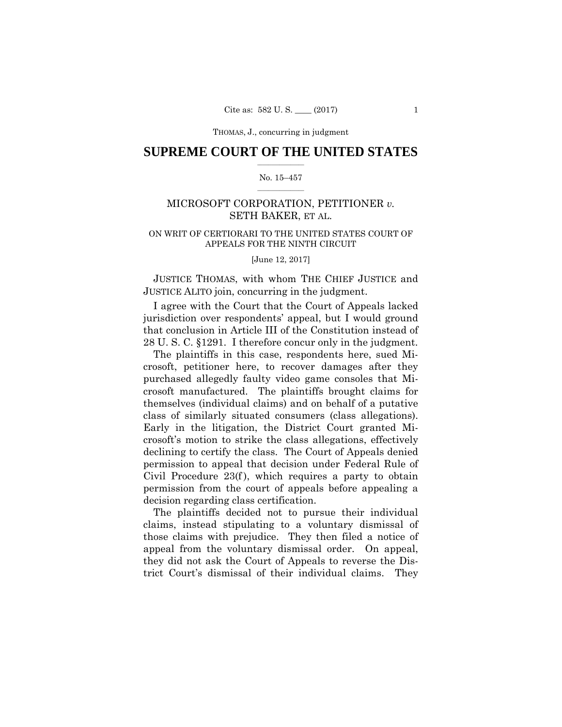## $\frac{1}{2}$  , where  $\frac{1}{2}$ **SUPREME COURT OF THE UNITED STATES**

### $\frac{1}{2}$  ,  $\frac{1}{2}$  ,  $\frac{1}{2}$  ,  $\frac{1}{2}$  ,  $\frac{1}{2}$  ,  $\frac{1}{2}$ No. 15–457

# MICROSOFT CORPORATION, PETITIONER *v.*  SETH BAKER, ET AL.

# ON WRIT OF CERTIORARI TO THE UNITED STATES COURT OF APPEALS FOR THE NINTH CIRCUIT

[June 12, 2017]

JUSTICE THOMAS, with whom THE CHIEF JUSTICE and JUSTICE ALITO join, concurring in the judgment.

I agree with the Court that the Court of Appeals lacked jurisdiction over respondents' appeal, but I would ground that conclusion in Article III of the Constitution instead of 28 U. S. C. §1291. I therefore concur only in the judgment.

The plaintiffs in this case, respondents here, sued Microsoft, petitioner here, to recover damages after they purchased allegedly faulty video game consoles that Microsoft manufactured. The plaintiffs brought claims for themselves (individual claims) and on behalf of a putative class of similarly situated consumers (class allegations). Early in the litigation, the District Court granted Microsoft's motion to strike the class allegations, effectively declining to certify the class. The Court of Appeals denied permission to appeal that decision under Federal Rule of Civil Procedure  $23(f)$ , which requires a party to obtain permission from the court of appeals before appealing a decision regarding class certification.

The plaintiffs decided not to pursue their individual claims, instead stipulating to a voluntary dismissal of those claims with prejudice. They then filed a notice of appeal from the voluntary dismissal order. On appeal, they did not ask the Court of Appeals to reverse the District Court's dismissal of their individual claims. They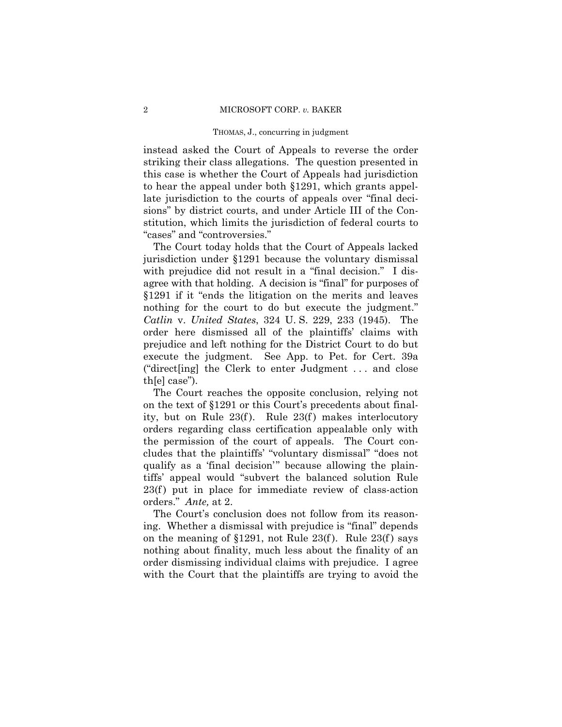instead asked the Court of Appeals to reverse the order striking their class allegations. The question presented in this case is whether the Court of Appeals had jurisdiction to hear the appeal under both §1291, which grants appellate jurisdiction to the courts of appeals over "final decisions" by district courts, and under Article III of the Constitution, which limits the jurisdiction of federal courts to "cases" and "controversies."

The Court today holds that the Court of Appeals lacked jurisdiction under §1291 because the voluntary dismissal with prejudice did not result in a "final decision." I disagree with that holding. A decision is "final" for purposes of §1291 if it "ends the litigation on the merits and leaves nothing for the court to do but execute the judgment." *Catlin* v. *United States*, 324 U. S. 229, 233 (1945). The order here dismissed all of the plaintiffs' claims with prejudice and left nothing for the District Court to do but execute the judgment. See App. to Pet. for Cert. 39a ("direct[ing] the Clerk to enter Judgment . . . and close th[e] case").

The Court reaches the opposite conclusion, relying not on the text of §1291 or this Court's precedents about finality, but on Rule  $23(f)$ . Rule  $23(f)$  makes interlocutory orders regarding class certification appealable only with the permission of the court of appeals. The Court concludes that the plaintiffs' "voluntary dismissal" "does not qualify as a 'final decision'" because allowing the plaintiffs' appeal would "subvert the balanced solution Rule  $23(f)$  put in place for immediate review of class-action orders." *Ante,* at 2.

The Court's conclusion does not follow from its reasoning. Whether a dismissal with prejudice is "final" depends on the meaning of §1291, not Rule 23(f). Rule 23(f) says nothing about finality, much less about the finality of an order dismissing individual claims with prejudice. I agree with the Court that the plaintiffs are trying to avoid the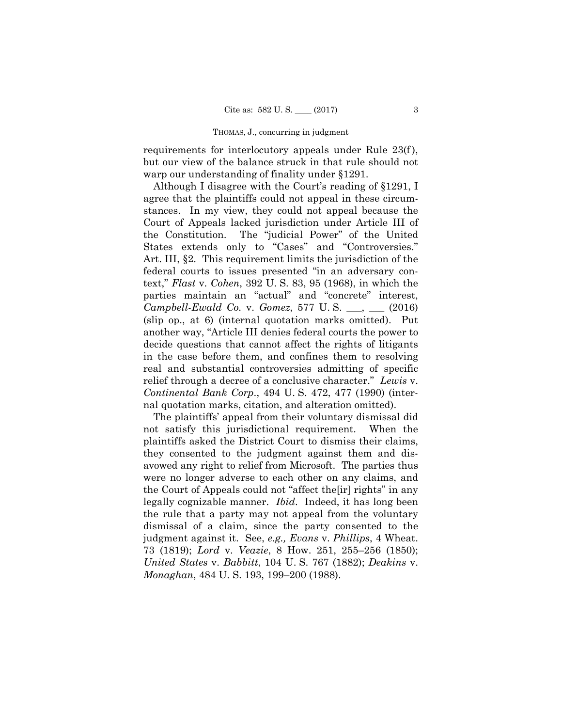requirements for interlocutory appeals under Rule 23(f), but our view of the balance struck in that rule should not warp our understanding of finality under §1291.

Although I disagree with the Court's reading of §1291, I agree that the plaintiffs could not appeal in these circumstances. In my view, they could not appeal because the Court of Appeals lacked jurisdiction under Article III of the Constitution. The "judicial Power" of the United States extends only to "Cases" and "Controversies." Art. III, §2. This requirement limits the jurisdiction of the federal courts to issues presented "in an adversary context," *Flast* v. *Cohen*, 392 U. S. 83, 95 (1968), in which the parties maintain an "actual" and "concrete" interest, *Campbell-Ewald Co.* v. *Gomez*, 577 U. S. \_\_\_, \_\_\_ (2016) (slip op., at 6) (internal quotation marks omitted). Put another way, "Article III denies federal courts the power to decide questions that cannot affect the rights of litigants in the case before them, and confines them to resolving real and substantial controversies admitting of specific relief through a decree of a conclusive character." *Lewis* v. *Continental Bank Corp*., 494 U. S. 472, 477 (1990) (internal quotation marks, citation, and alteration omitted).

 avowed any right to relief from Microsoft. The parties thus legally cognizable manner. *Ibid*. Indeed, it has long been The plaintiffs' appeal from their voluntary dismissal did not satisfy this jurisdictional requirement. When the plaintiffs asked the District Court to dismiss their claims, they consented to the judgment against them and diswere no longer adverse to each other on any claims, and the Court of Appeals could not "affect the[ir] rights" in any the rule that a party may not appeal from the voluntary dismissal of a claim, since the party consented to the judgment against it. See, *e.g., Evans* v. *Phillips*, 4 Wheat. 73 (1819); *Lord* v. *Veazie*, 8 How. 251, 255–256 (1850); *United States* v. *Babbitt*, 104 U. S. 767 (1882); *Deakins* v. *Monaghan*, 484 U. S. 193, 199–200 (1988).